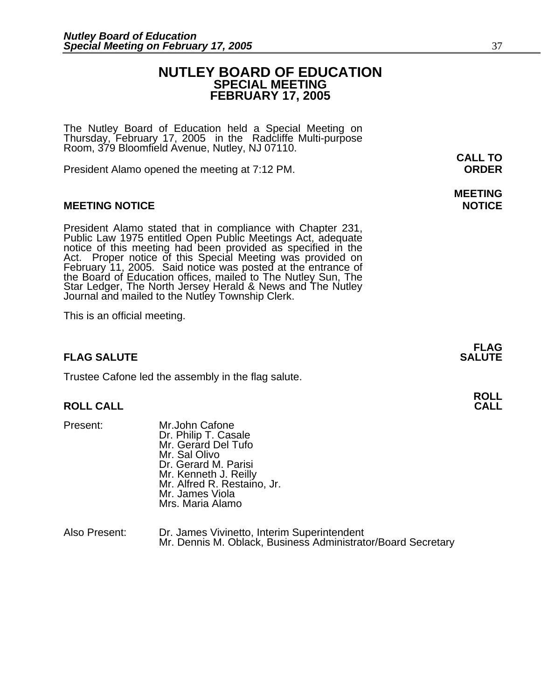# **NUTLEY BOARD OF EDUCATION SPECIAL MEETING FEBRUARY 17, 2005**

The Nutley Board of Education held a Special Meeting on Thursday, February 17, 2005 in the Radcliffe Multi-purpose Room, 379 Bloomfield Avenue, Nutley, NJ 07110.

President Alamo opened the meeting at 7:12 PM. **ORDER**

## **MEETING NOTICE NOTICE**

President Alamo stated that in compliance with Chapter 231,<br>Public Law 1975 entitled Open Public Meetings Act, adequate<br>notice of this meeting had been provided as specified in the<br>Act. Proper notice of this Special Meetin

This is an official meeting.

## **FLAG SALUTE** SALUTE

Trustee Cafone led the assembly in the flag salute.

## **ROLL CALL**

- 
- Present: Mr.John Cafone Dr. Philip T. Casale Mr. Gerard Del Tufo Mr. Sal Olivo Dr. Gerard M. Parisi Mr. Kenneth J. Reilly Mr. Alfred R. Restaino, Jr. Mr. James Viola Mrs. Maria Alamo

| Also Present: | Dr. James Vivinetto, Interim Superintendent                  |
|---------------|--------------------------------------------------------------|
|               | Mr. Dennis M. Oblack, Business Administrator/Board Secretary |

**CALL TO** 

# **MEETING**

**FLAG** 

**ROLL**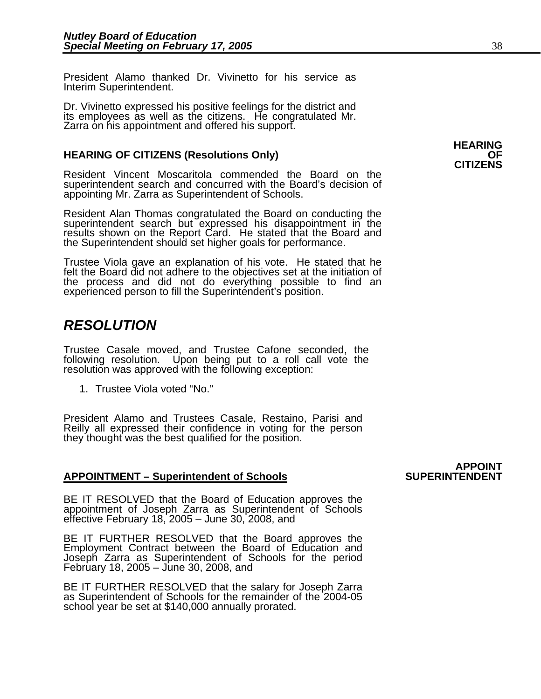President Alamo thanked Dr. Vivinetto for his service as Interim Superintendent.

Dr. Vivinetto expressed his positive feelings for the district and its employees as well as the citizens. He congratulated Mr. Zarra on his appointment and offered his support.

# **HEARING OF CITIZENS (Resolutions Only)** OF **OF CITIZENS**

Resident Vincent Moscaritola commended the Board on the superintendent search and concurred with the Board's decision of appointing Mr. Zarra as Superintendent of Schools.

Resident Alan Thomas congratulated the Board on conducting the superintendent search but expressed his disappointment in the results shown on the Report Card. He stated that the Board and the Superintendent should set higher goals for performance.

Trustee Viola gave an explanation of his vote. He stated that he felt the Board did not adhere to the objectives set at the initiation of<br>the process and did not do everything possible to find an<br>experienced person to fill the Superintendent's position.

# *RESOLUTION*

Trustee Casale moved, and Trustee Cafone seconded, the following resolution. Upon being put to a roll call vote the resolution was approved with the following exception:

1. Trustee Viola voted "No."

President Alamo and Trustees Casale, Restaino, Parisi and Reilly all expressed their confidence in voting for the person they thought was the best qualified for the position.

## APPOINTMENT – Superintendent of Schools **SUPERINTENDENT**

BE IT RESOLVED that the Board of Education approves the appointment of Joseph Zarra as Superintendent of Schools effective February 18, 2005 – June 30, 2008, and

BE IT FURTHER RESOLVED that the Board approves the Employment Contract between the Board of Education and Joseph Zarra as Superintendent of Schools for the period February 18, 2005 – June 30, 2008, and

BE IT FURTHER RESOLVED that the salary for Joseph Zarra as Superintendent of Schools for the remainder of the 2004-05 school year be set at \$140,000 annually prorated.

# **APPOINT**

**HEARING**